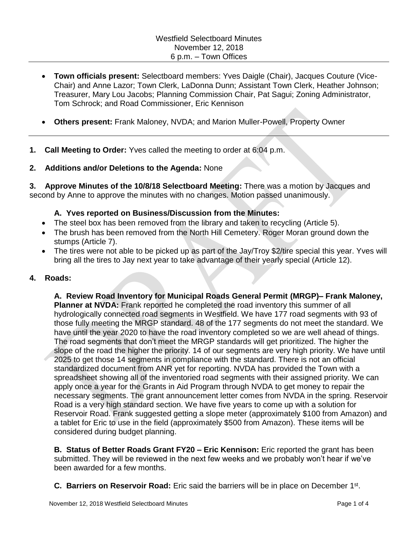- **Town officials present:** Selectboard members: Yves Daigle (Chair), Jacques Couture (Vice-Chair) and Anne Lazor; Town Clerk, LaDonna Dunn; Assistant Town Clerk, Heather Johnson; Treasurer, Mary Lou Jacobs; Planning Commission Chair, Pat Sagui; Zoning Administrator, Tom Schrock; and Road Commissioner, Eric Kennison
- **Others present:** Frank Maloney, NVDA; and Marion Muller-Powell, Property Owner
- **1. Call Meeting to Order:** Yves called the meeting to order at 6:04 p.m.

## **2. Additions and/or Deletions to the Agenda:** None

**3. Approve Minutes of the 10/8/18 Selectboard Meeting:** There was a motion by Jacques and second by Anne to approve the minutes with no changes. Motion passed unanimously.

## **A. Yves reported on Business/Discussion from the Minutes:**

- The steel box has been removed from the library and taken to recycling (Article 5).
- The brush has been removed from the North Hill Cemetery. Roger Moran ground down the stumps (Article 7).
- The tires were not able to be picked up as part of the Jay/Troy \$2/tire special this year. Yves will bring all the tires to Jay next year to take advantage of their yearly special (Article 12).

## **4. Roads:**

**A. Review Road Inventory for Municipal Roads General Permit (MRGP)– Frank Maloney, Planner at NVDA:** Frank reported he completed the road inventory this summer of all hydrologically connected road segments in Westfield. We have 177 road segments with 93 of those fully meeting the MRGP standard. 48 of the 177 segments do not meet the standard. We have until the year 2020 to have the road inventory completed so we are well ahead of things. The road segments that don't meet the MRGP standards will get prioritized. The higher the slope of the road the higher the priority. 14 of our segments are very high priority. We have until 2025 to get those 14 segments in compliance with the standard. There is not an official standardized document from ANR yet for reporting. NVDA has provided the Town with a spreadsheet showing all of the inventoried road segments with their assigned priority. We can apply once a year for the Grants in Aid Program through NVDA to get money to repair the necessary segments. The grant announcement letter comes from NVDA in the spring. Reservoir Road is a very high standard section. We have five years to come up with a solution for Reservoir Road. Frank suggested getting a slope meter (approximately \$100 from Amazon) and a tablet for Eric to use in the field (approximately \$500 from Amazon). These items will be considered during budget planning.

**B. Status of Better Roads Grant FY20 – Eric Kennison:** Eric reported the grant has been submitted. They will be reviewed in the next few weeks and we probably won't hear if we've been awarded for a few months.

**C. Barriers on Reservoir Road:** Eric said the barriers will be in place on December 1<sup>st</sup>.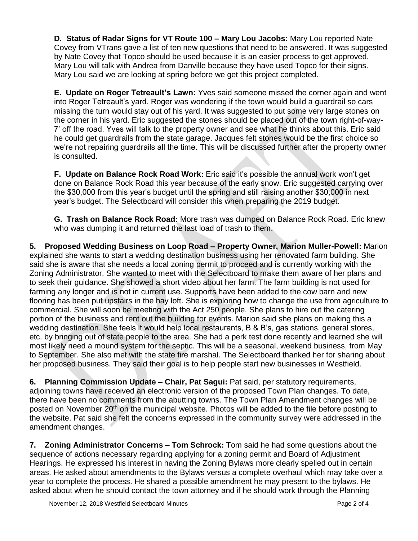**D. Status of Radar Signs for VT Route 100 – Mary Lou Jacobs:** Mary Lou reported Nate Covey from VTrans gave a list of ten new questions that need to be answered. It was suggested by Nate Covey that Topco should be used because it is an easier process to get approved. Mary Lou will talk with Andrea from Danville because they have used Topco for their signs. Mary Lou said we are looking at spring before we get this project completed.

**E. Update on Roger Tetreault's Lawn:** Yves said someone missed the corner again and went into Roger Tetreault's yard. Roger was wondering if the town would build a guardrail so cars missing the turn would stay out of his yard. It was suggested to put some very large stones on the corner in his yard. Eric suggested the stones should be placed out of the town right-of-way-7' off the road. Yves will talk to the property owner and see what he thinks about this. Eric said he could get guardrails from the state garage. Jacques felt stones would be the first choice so we're not repairing guardrails all the time. This will be discussed further after the property owner is consulted.

**F. Update on Balance Rock Road Work:** Eric said it's possible the annual work won't get done on Balance Rock Road this year because of the early snow. Eric suggested carrying over the \$30,000 from this year's budget until the spring and still raising another \$30,000 in next year's budget. The Selectboard will consider this when preparing the 2019 budget.

**G. Trash on Balance Rock Road:** More trash was dumped on Balance Rock Road. Eric knew who was dumping it and returned the last load of trash to them.

**5. Proposed Wedding Business on Loop Road – Property Owner, Marion Muller-Powell:** Marion explained she wants to start a wedding destination business using her renovated farm building. She said she is aware that she needs a local zoning permit to proceed and is currently working with the Zoning Administrator. She wanted to meet with the Selectboard to make them aware of her plans and to seek their guidance. She showed a short video about her farm. The farm building is not used for farming any longer and is not in current use. Supports have been added to the cow barn and new flooring has been put upstairs in the hay loft. She is exploring how to change the use from agriculture to commercial. She will soon be meeting with the Act 250 people. She plans to hire out the catering portion of the business and rent out the building for events. Marion said she plans on making this a wedding destination. She feels it would help local restaurants, B & B's, gas stations, general stores, etc. by bringing out of state people to the area. She had a perk test done recently and learned she will most likely need a mound system for the septic. This will be a seasonal, weekend business, from May to September. She also met with the state fire marshal. The Selectboard thanked her for sharing about her proposed business. They said their goal is to help people start new businesses in Westfield.

**6. Planning Commission Update – Chair, Pat Sagui:** Pat said, per statutory requirements, adjoining towns have received an electronic version of the proposed Town Plan changes. To date, there have been no comments from the abutting towns. The Town Plan Amendment changes will be posted on November 20<sup>th</sup> on the municipal website. Photos will be added to the file before posting to the website. Pat said she felt the concerns expressed in the community survey were addressed in the amendment changes.

**7. Zoning Administrator Concerns – Tom Schrock:** Tom said he had some questions about the sequence of actions necessary regarding applying for a zoning permit and Board of Adjustment Hearings. He expressed his interest in having the Zoning Bylaws more clearly spelled out in certain areas. He asked about amendments to the Bylaws versus a complete overhaul which may take over a year to complete the process. He shared a possible amendment he may present to the bylaws. He asked about when he should contact the town attorney and if he should work through the Planning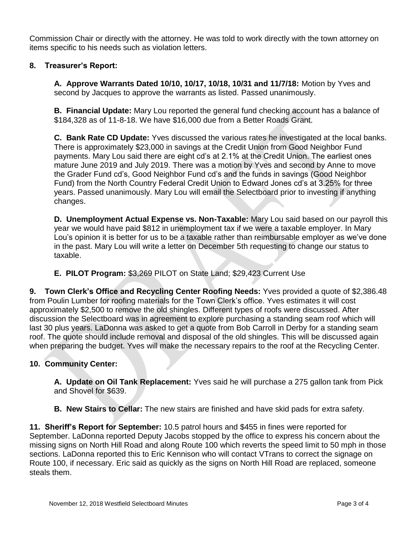Commission Chair or directly with the attorney. He was told to work directly with the town attorney on items specific to his needs such as violation letters.

# **8. Treasurer's Report:**

**A. Approve Warrants Dated 10/10, 10/17, 10/18, 10/31 and 11/7/18:** Motion by Yves and second by Jacques to approve the warrants as listed. Passed unanimously.

**B. Financial Update:** Mary Lou reported the general fund checking account has a balance of \$184,328 as of 11-8-18. We have \$16,000 due from a Better Roads Grant.

**C. Bank Rate CD Update:** Yves discussed the various rates he investigated at the local banks. There is approximately \$23,000 in savings at the Credit Union from Good Neighbor Fund payments. Mary Lou said there are eight cd's at 2.1% at the Credit Union. The earliest ones mature June 2019 and July 2019. There was a motion by Yves and second by Anne to move the Grader Fund cd's, Good Neighbor Fund cd's and the funds in savings (Good Neighbor Fund) from the North Country Federal Credit Union to Edward Jones cd's at 3.25% for three years. Passed unanimously. Mary Lou will email the Selectboard prior to investing if anything changes.

**D. Unemployment Actual Expense vs. Non-Taxable:** Mary Lou said based on our payroll this year we would have paid \$812 in unemployment tax if we were a taxable employer. In Mary Lou's opinion it is better for us to be a taxable rather than reimbursable employer as we've done in the past. Mary Lou will write a letter on December 5th requesting to change our status to taxable.

**E. PILOT Program:** \$3,269 PILOT on State Land; \$29,423 Current Use

**9. Town Clerk's Office and Recycling Center Roofing Needs:** Yves provided a quote of \$2,386.48 from Poulin Lumber for roofing materials for the Town Clerk's office. Yves estimates it will cost approximately \$2,500 to remove the old shingles. Different types of roofs were discussed. After discussion the Selectboard was in agreement to explore purchasing a standing seam roof which will last 30 plus years. LaDonna was asked to get a quote from Bob Carroll in Derby for a standing seam roof. The quote should include removal and disposal of the old shingles. This will be discussed again when preparing the budget. Yves will make the necessary repairs to the roof at the Recycling Center.

## **10. Community Center:**

**A. Update on Oil Tank Replacement:** Yves said he will purchase a 275 gallon tank from Pick and Shovel for \$639.

**B. New Stairs to Cellar:** The new stairs are finished and have skid pads for extra safety.

**11. Sheriff's Report for September:** 10.5 patrol hours and \$455 in fines were reported for September. LaDonna reported Deputy Jacobs stopped by the office to express his concern about the missing signs on North Hill Road and along Route 100 which reverts the speed limit to 50 mph in those sections. LaDonna reported this to Eric Kennison who will contact VTrans to correct the signage on Route 100, if necessary. Eric said as quickly as the signs on North Hill Road are replaced, someone steals them.